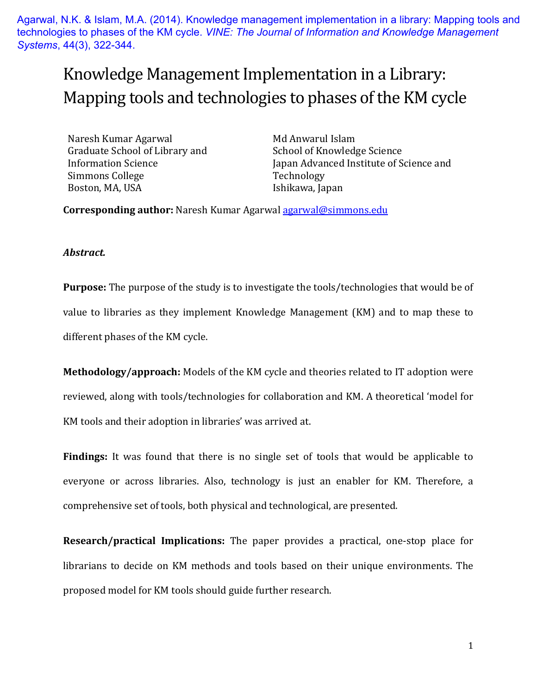Agarwal, N.K. & Islam, M.A. (2014). Knowledge management implementation in a library: Mapping tools and technologies to phases of the KM cycle. *VINE: The Journal of Information and Knowledge Management Systems*, 44(3), 322-344.

# Knowledge Management Implementation in a Library: Mapping tools and technologies to phases of the KM cycle

Naresh Kumar Agarwal Graduate School of Library and Information Science Simmons College Boston, MA, USA

Md Anwarul Islam School of Knowledge Science Japan Advanced Institute of Science and Technology Ishikawa, Japan

**Corresponding author:** Naresh Kumar Agarwal [agarwal@simmons.edu](mailto:agarwal@simmons.edu)

#### *Abstract.*

**Purpose:** The purpose of the study is to investigate the tools/technologies that would be of value to libraries as they implement Knowledge Management (KM) and to map these to different phases of the KM cycle.

**Methodology/approach:** Models of the KM cycle and theories related to IT adoption were reviewed, along with tools/technologies for collaboration and KM. A theoretical 'model for KM tools and their adoption in libraries' was arrived at.

**Findings:** It was found that there is no single set of tools that would be applicable to everyone or across libraries. Also, technology is just an enabler for KM. Therefore, a comprehensive set of tools, both physical and technological, are presented.

**Research/practical Implications:** The paper provides a practical, one-stop place for librarians to decide on KM methods and tools based on their unique environments. The proposed model for KM tools should guide further research.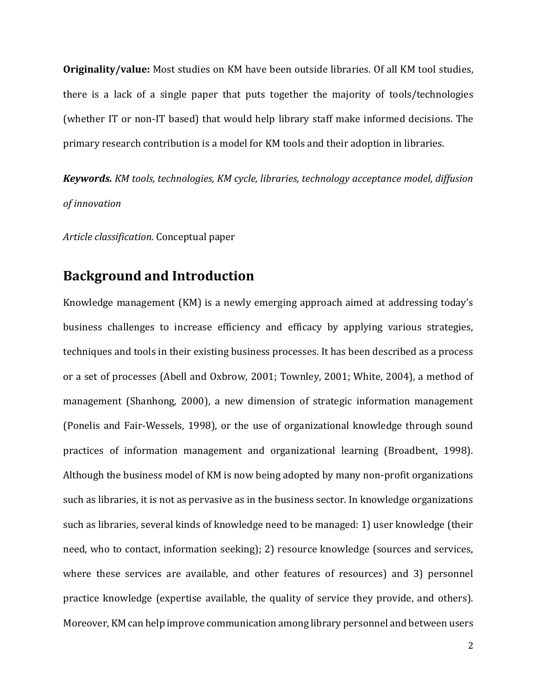**Originality/value:** Most studies on KM have been outside libraries. Of all KM tool studies, there is a lack of a single paper that puts together the majority of tools/technologies (whether IT or non-IT based) that would help library staff make informed decisions. The primary research contribution is a model for KM tools and their adoption in libraries.

*Keywords. KM tools, technologies, KM cycle, libraries, technology acceptance model, diffusion of innovation*

*Article classification.* Conceptual paper

## **Background and Introduction**

Knowledge management (KM) is a newly emerging approach aimed at addressing today's business challenges to increase efficiency and efficacy by applying various strategies, techniques and tools in their existing business processes. It has been described as a process or a set of processes (Abell and Oxbrow, 2001; Townley, 2001; White, 2004), a method of management (Shanhong, 2000), a new dimension of strategic information management (Ponelis and Fair-Wessels, 1998), or the use of organizational knowledge through sound practices of information management and organizational learning (Broadbent, 1998). Although the business model of KM is now being adopted by many non-profit organizations such as libraries, it is not as pervasive as in the business sector. In knowledge organizations such as libraries, several kinds of knowledge need to be managed: 1) user knowledge (their need, who to contact, information seeking); 2) resource knowledge (sources and services, where these services are available, and other features of resources) and 3) personnel practice knowledge (expertise available, the quality of service they provide, and others). Moreover, KM can help improve communication among library personnel and between users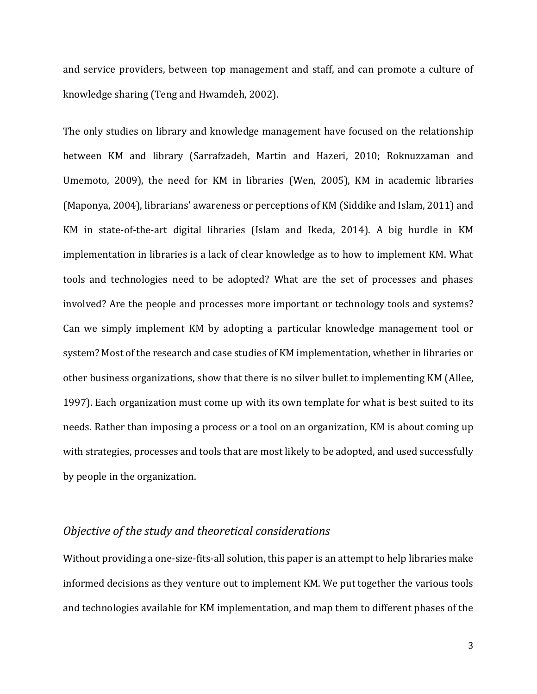and service providers, between top management and staff, and can promote a culture of knowledge sharing (Teng and Hwamdeh, 2002).

The only studies on library and knowledge management have focused on the relationship between KM and library (Sarrafzadeh, Martin and Hazeri, 2010; Roknuzzaman and Umemoto, 2009), the need for KM in libraries (Wen, 2005), KM in academic libraries (Maponya, 2004), librarians' awareness or perceptions of KM (Siddike and Islam, 2011) and KM in state-of-the-art digital libraries (Islam and Ikeda, 2014). A big hurdle in KM implementation in libraries is a lack of clear knowledge as to how to implement KM. What tools and technologies need to be adopted? What are the set of processes and phases involved? Are the people and processes more important or technology tools and systems? Can we simply implement KM by adopting a particular knowledge management tool or system? Most of the research and case studies of KM implementation, whether in libraries or other business organizations, show that there is no silver bullet to implementing KM (Allee, 1997). Each organization must come up with its own template for what is best suited to its needs. Rather than imposing a process or a tool on an organization, KM is about coming up with strategies, processes and tools that are most likely to be adopted, and used successfully by people in the organization.

#### *Objective of the study and theoretical considerations*

Without providing a one-size-fits-all solution, this paper is an attempt to help libraries make informed decisions as they venture out to implement KM. We put together the various tools and technologies available for KM implementation, and map them to different phases of the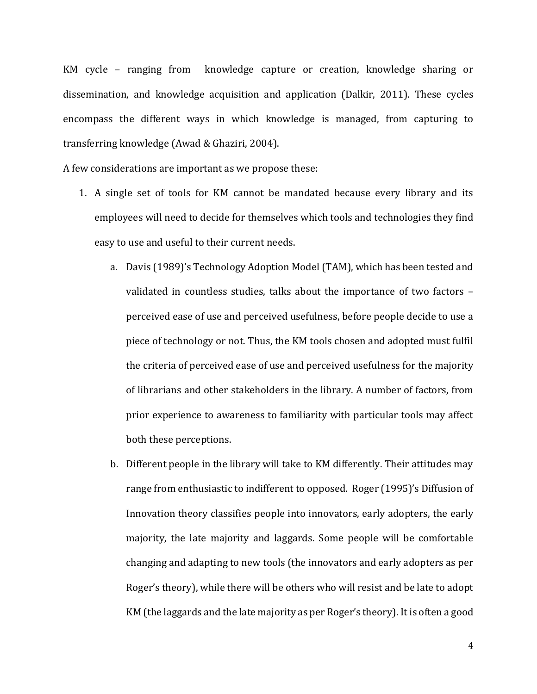KM cycle – ranging from knowledge capture or creation, knowledge sharing or dissemination, and knowledge acquisition and application (Dalkir, 2011). These cycles encompass the different ways in which knowledge is managed, from capturing to transferring knowledge (Awad & Ghaziri, 2004).

A few considerations are important as we propose these:

- 1. A single set of tools for KM cannot be mandated because every library and its employees will need to decide for themselves which tools and technologies they find easy to use and useful to their current needs.
	- a. Davis (1989)'s Technology Adoption Model (TAM), which has been tested and validated in countless studies, talks about the importance of two factors – perceived ease of use and perceived usefulness, before people decide to use a piece of technology or not. Thus, the KM tools chosen and adopted must fulfil the criteria of perceived ease of use and perceived usefulness for the majority of librarians and other stakeholders in the library. A number of factors, from prior experience to awareness to familiarity with particular tools may affect both these perceptions.
	- b. Different people in the library will take to KM differently. Their attitudes may range from enthusiastic to indifferent to opposed. Roger (1995)'s Diffusion of Innovation theory classifies people into innovators, early adopters, the early majority, the late majority and laggards. Some people will be comfortable changing and adapting to new tools (the innovators and early adopters as per Roger's theory), while there will be others who will resist and be late to adopt KM (the laggards and the late majority as per Roger's theory). It is often a good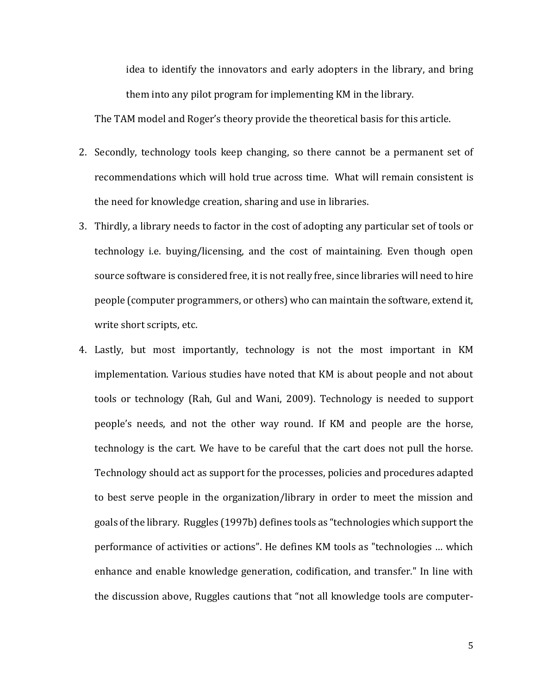idea to identify the innovators and early adopters in the library, and bring them into any pilot program for implementing KM in the library.

The TAM model and Roger's theory provide the theoretical basis for this article.

- 2. Secondly, technology tools keep changing, so there cannot be a permanent set of recommendations which will hold true across time. What will remain consistent is the need for knowledge creation, sharing and use in libraries.
- 3. Thirdly, a library needs to factor in the cost of adopting any particular set of tools or technology i.e. buying/licensing, and the cost of maintaining. Even though open source software is considered free, it is not really free, since libraries will need to hire people (computer programmers, or others) who can maintain the software, extend it, write short scripts, etc.
- 4. Lastly, but most importantly, technology is not the most important in KM implementation. Various studies have noted that KM is about people and not about tools or technology (Rah, Gul and Wani, 2009). Technology is needed to support people's needs, and not the other way round. If KM and people are the horse, technology is the cart. We have to be careful that the cart does not pull the horse. Technology should act as support for the processes, policies and procedures adapted to best serve people in the organization/library in order to meet the mission and goals of the library. Ruggles (1997b) defines tools as "technologies which support the performance of activities or actions". He defines KM tools as "technologies … which enhance and enable knowledge generation, codification, and transfer." In line with the discussion above, Ruggles cautions that "not all knowledge tools are computer-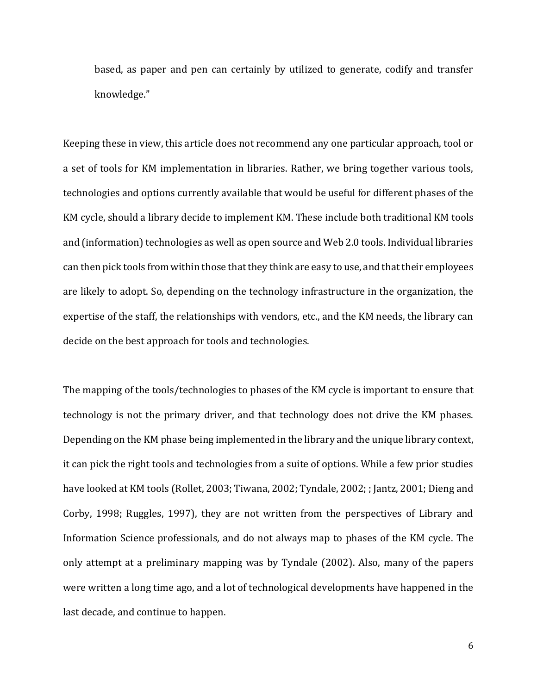based, as paper and pen can certainly by utilized to generate, codify and transfer knowledge."

Keeping these in view, this article does not recommend any one particular approach, tool or a set of tools for KM implementation in libraries. Rather, we bring together various tools, technologies and options currently available that would be useful for different phases of the KM cycle, should a library decide to implement KM. These include both traditional KM tools and (information) technologies as well as open source and Web 2.0 tools. Individual libraries can then pick tools from within those that they think are easy to use, and that their employees are likely to adopt. So, depending on the technology infrastructure in the organization, the expertise of the staff, the relationships with vendors, etc., and the KM needs, the library can decide on the best approach for tools and technologies.

The mapping of the tools/technologies to phases of the KM cycle is important to ensure that technology is not the primary driver, and that technology does not drive the KM phases. Depending on the KM phase being implemented in the library and the unique library context, it can pick the right tools and technologies from a suite of options. While a few prior studies have looked at KM tools (Rollet, 2003; Tiwana, 2002; Tyndale, 2002; ; Jantz, 2001; Dieng and Corby, 1998; Ruggles, 1997), they are not written from the perspectives of Library and Information Science professionals, and do not always map to phases of the KM cycle. The only attempt at a preliminary mapping was by Tyndale (2002). Also, many of the papers were written a long time ago, and a lot of technological developments have happened in the last decade, and continue to happen.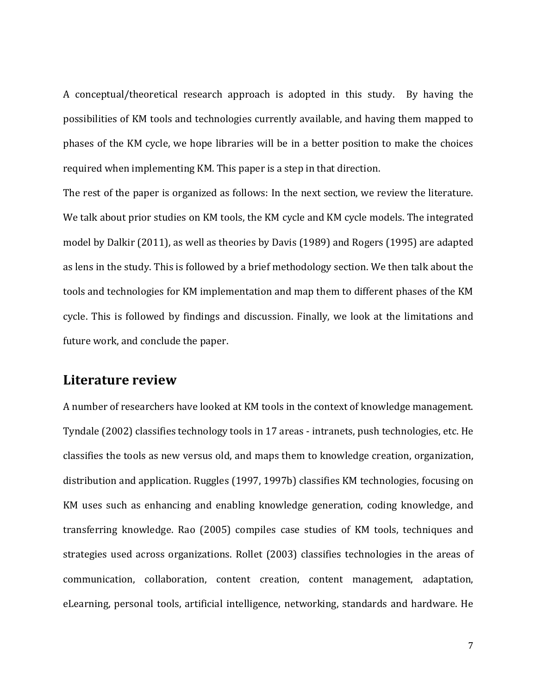A conceptual/theoretical research approach is adopted in this study. By having the possibilities of KM tools and technologies currently available, and having them mapped to phases of the KM cycle, we hope libraries will be in a better position to make the choices required when implementing KM. This paper is a step in that direction.

The rest of the paper is organized as follows: In the next section, we review the literature. We talk about prior studies on KM tools, the KM cycle and KM cycle models. The integrated model by Dalkir (2011), as well as theories by Davis (1989) and Rogers (1995) are adapted as lens in the study. This is followed by a brief methodology section. We then talk about the tools and technologies for KM implementation and map them to different phases of the KM cycle. This is followed by findings and discussion. Finally, we look at the limitations and future work, and conclude the paper.

#### **Literature review**

A number of researchers have looked at KM tools in the context of knowledge management. Tyndale (2002) classifies technology tools in 17 areas - intranets, push technologies, etc. He classifies the tools as new versus old, and maps them to knowledge creation, organization, distribution and application. Ruggles (1997, 1997b) classifies KM technologies, focusing on KM uses such as enhancing and enabling knowledge generation, coding knowledge, and transferring knowledge. Rao (2005) compiles case studies of KM tools, techniques and strategies used across organizations. Rollet (2003) classifies technologies in the areas of communication, collaboration, content creation, content management, adaptation, eLearning, personal tools, artificial intelligence, networking, standards and hardware. He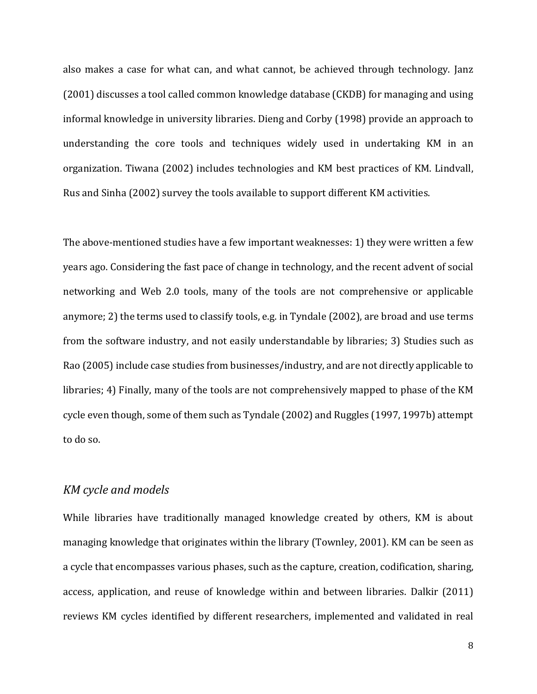also makes a case for what can, and what cannot, be achieved through technology. Janz (2001) discusses a tool called common knowledge database (CKDB) for managing and using informal knowledge in university libraries. Dieng and Corby (1998) provide an approach to understanding the core tools and techniques widely used in undertaking KM in an organization. Tiwana (2002) includes technologies and KM best practices of KM. Lindvall, Rus and Sinha (2002) survey the tools available to support different KM activities.

The above-mentioned studies have a few important weaknesses: 1) they were written a few years ago. Considering the fast pace of change in technology, and the recent advent of social networking and Web 2.0 tools, many of the tools are not comprehensive or applicable anymore; 2) the terms used to classify tools, e.g. in Tyndale (2002), are broad and use terms from the software industry, and not easily understandable by libraries; 3) Studies such as Rao (2005) include case studies from businesses/industry, and are not directly applicable to libraries; 4) Finally, many of the tools are not comprehensively mapped to phase of the KM cycle even though, some of them such as Tyndale (2002) and Ruggles (1997, 1997b) attempt to do so.

#### *KM cycle and models*

While libraries have traditionally managed knowledge created by others, KM is about managing knowledge that originates within the library (Townley, 2001). KM can be seen as a cycle that encompasses various phases, such as the capture, creation, codification, sharing, access, application, and reuse of knowledge within and between libraries. Dalkir (2011) reviews KM cycles identified by different researchers, implemented and validated in real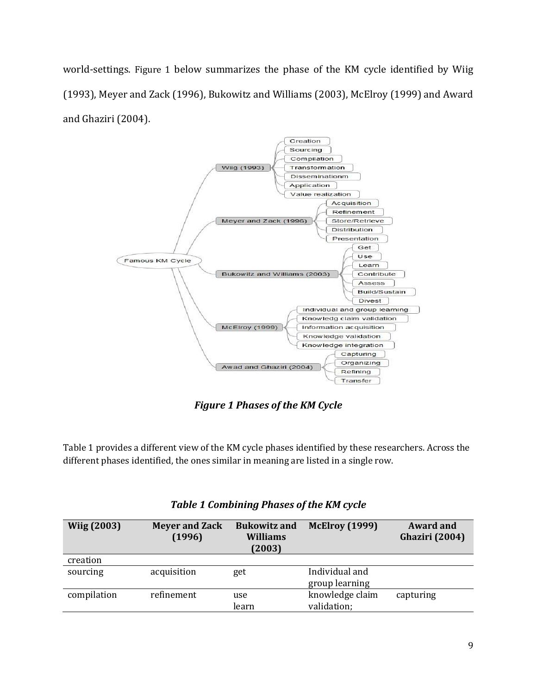world-settings. [Figure 1](#page-8-0) below summarizes the phase of the KM cycle identified by Wiig (1993), Meyer and Zack (1996), Bukowitz and Williams (2003), McElroy (1999) and Award and Ghaziri (2004).



*Figure 1 Phases of the KM Cycle*

<span id="page-8-0"></span>[Table 1](#page-8-1) provides a different view of the KM cycle phases identified by these researchers. Across the different phases identified, the ones similar in meaning are listed in a single row.

<span id="page-8-1"></span>

| <b>Wiig (2003)</b> | <b>Meyer and Zack</b><br>(1996) | <b>Bukowitz and</b><br><b>Williams</b><br>(2003) | <b>McElroy (1999)</b>            | <b>Award and</b><br><b>Ghaziri</b> (2004) |
|--------------------|---------------------------------|--------------------------------------------------|----------------------------------|-------------------------------------------|
| creation           |                                 |                                                  |                                  |                                           |
| sourcing           | acquisition                     | get                                              | Individual and<br>group learning |                                           |
| compilation        | refinement                      | use<br>learn                                     | knowledge claim<br>validation;   | capturing                                 |

*Table 1 Combining Phases of the KM cycle*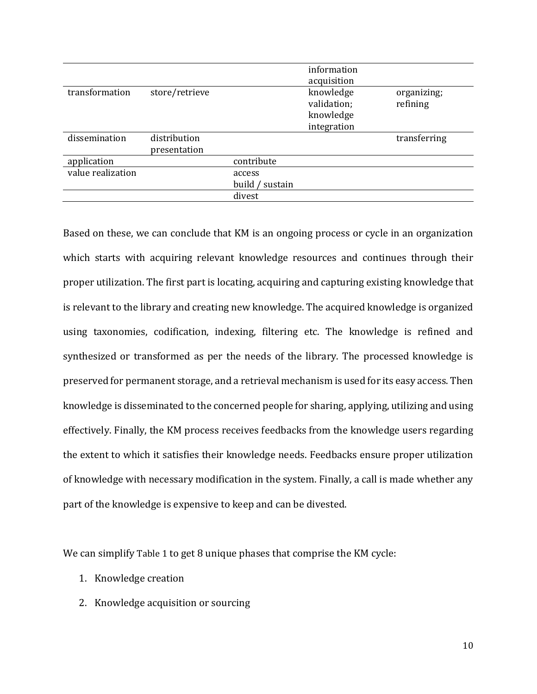|                   |                |                    | information |              |
|-------------------|----------------|--------------------|-------------|--------------|
|                   |                |                    | acquisition |              |
| transformation    | store/retrieve |                    | knowledge   | organizing;  |
|                   |                |                    | validation; | refining     |
|                   |                |                    | knowledge   |              |
|                   |                |                    | integration |              |
| dissemination     | distribution   |                    |             | transferring |
|                   | presentation   |                    |             |              |
| application       |                | contribute         |             |              |
| value realization |                | access             |             |              |
|                   |                | build /<br>sustain |             |              |
|                   |                | divest             |             |              |
|                   |                |                    |             |              |

Based on these, we can conclude that KM is an ongoing process or cycle in an organization which starts with acquiring relevant knowledge resources and continues through their proper utilization. The first part is locating, acquiring and capturing existing knowledge that is relevant to the library and creating new knowledge. The acquired knowledge is organized using taxonomies, codification, indexing, filtering etc. The knowledge is refined and synthesized or transformed as per the needs of the library. The processed knowledge is preserved for permanent storage, and a retrieval mechanism is used for its easy access. Then knowledge is disseminated to the concerned people for sharing, applying, utilizing and using effectively. Finally, the KM process receives feedbacks from the knowledge users regarding the extent to which it satisfies their knowledge needs. Feedbacks ensure proper utilization of knowledge with necessary modification in the system. Finally, a call is made whether any part of the knowledge is expensive to keep and can be divested.

We can simplify [Table 1](#page-8-1) to get 8 unique phases that comprise the KM cycle:

- 1. Knowledge creation
- 2. Knowledge acquisition or sourcing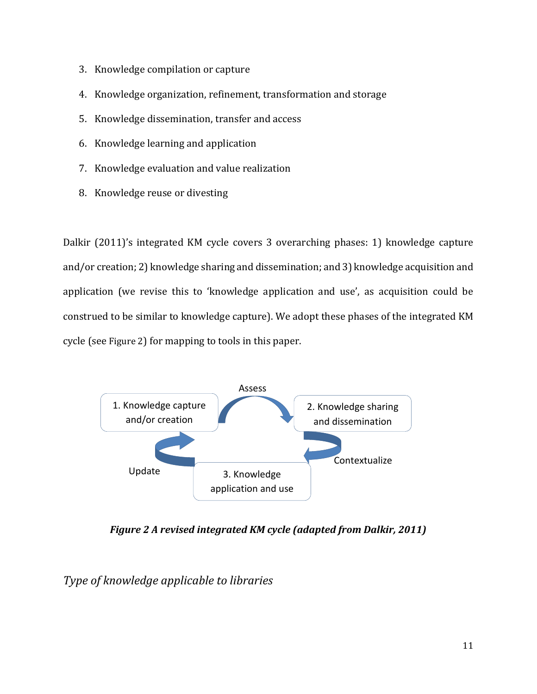- 3. Knowledge compilation or capture
- 4. Knowledge organization, refinement, transformation and storage
- 5. Knowledge dissemination, transfer and access
- 6. Knowledge learning and application
- 7. Knowledge evaluation and value realization
- 8. Knowledge reuse or divesting

Dalkir (2011)'s integrated KM cycle covers 3 overarching phases: 1) knowledge capture and/or creation; 2) knowledge sharing and dissemination; and 3) knowledge acquisition and application (we revise this to 'knowledge application and use', as acquisition could be construed to be similar to knowledge capture). We adopt these phases of the integrated KM cycle (see [Figure 2](#page-10-0)) for mapping to tools in this paper.



<span id="page-10-0"></span>*Figure 2 A revised integrated KM cycle (adapted from Dalkir, 2011)*

*Type of knowledge applicable to libraries*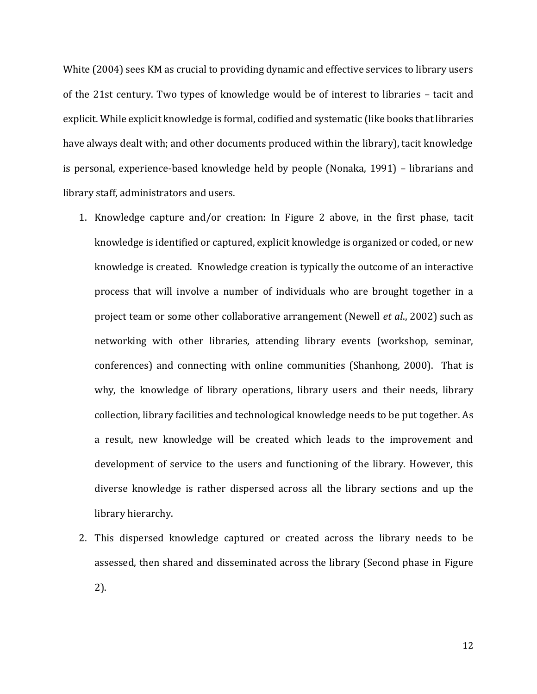White (2004) sees KM as crucial to providing dynamic and effective services to library users of the 21st century. Two types of knowledge would be of interest to libraries – tacit and explicit. While explicit knowledge is formal, codified and systematic (like books that libraries have always dealt with; and other documents produced within the library), tacit knowledge is personal, experience-based knowledge held by people (Nonaka, 1991) – librarians and library staff, administrators and users.

- 1. Knowledge capture and/or creation: In [Figure 2](#page-10-0) above, in the first phase, tacit knowledge is identified or captured, explicit knowledge is organized or coded, or new knowledge is created. Knowledge creation is typically the outcome of an interactive process that will involve a number of individuals who are brought together in a project team or some other collaborative arrangement (Newell *et al*., 2002) such as networking with other libraries, attending library events (workshop, seminar, conferences) and connecting with online communities (Shanhong, 2000). That is why, the knowledge of library operations, library users and their needs, library collection, library facilities and technological knowledge needs to be put together. As a result, new knowledge will be created which leads to the improvement and development of service to the users and functioning of the library. However, this diverse knowledge is rather dispersed across all the library sections and up the library hierarchy.
- 2. This dispersed knowledge captured or created across the library needs to be assessed, then shared and disseminated across the library (Second phase in [Figure](#page-10-0)  [2\)](#page-10-0).

12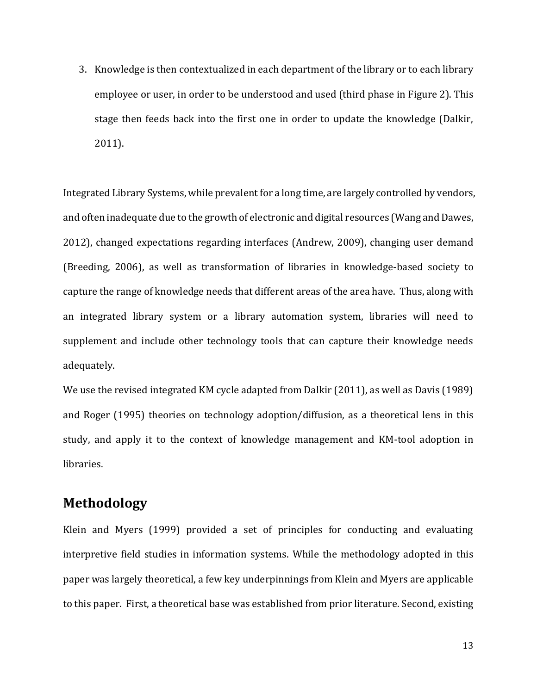3. Knowledge is then contextualized in each department of the library or to each library employee or user, in order to be understood and used (third phase in [Figure 2\)](#page-10-0). This stage then feeds back into the first one in order to update the knowledge (Dalkir, 2011).

Integrated Library Systems, while prevalent for a long time, are largely controlled by vendors, and often inadequate due to the growth of electronic and digital resources (Wang and Dawes, 2012), changed expectations regarding interfaces (Andrew, 2009), changing user demand (Breeding, 2006), as well as transformation of libraries in knowledge-based society to capture the range of knowledge needs that different areas of the area have. Thus, along with an integrated library system or a library automation system, libraries will need to supplement and include other technology tools that can capture their knowledge needs adequately.

We use the revised integrated KM cycle adapted from Dalkir (2011), as well as Davis (1989) and Roger (1995) theories on technology adoption/diffusion, as a theoretical lens in this study, and apply it to the context of knowledge management and KM-tool adoption in libraries.

### **Methodology**

Klein and Myers (1999) provided a set of principles for conducting and evaluating interpretive field studies in information systems. While the methodology adopted in this paper was largely theoretical, a few key underpinnings from Klein and Myers are applicable to this paper. First, a theoretical base was established from prior literature. Second, existing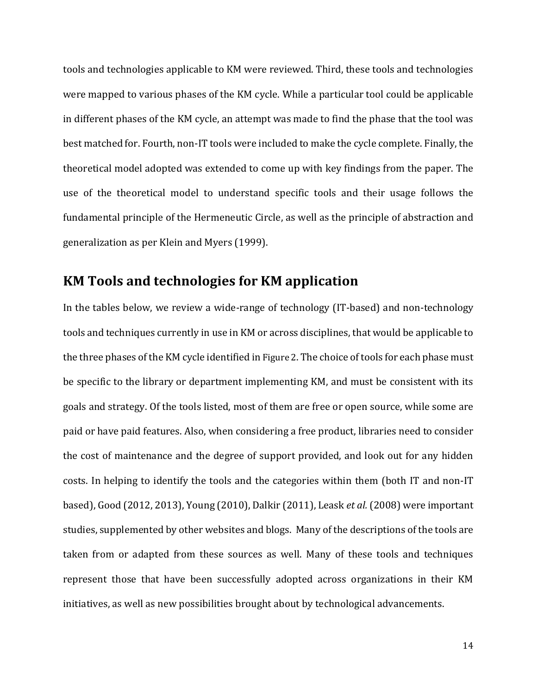tools and technologies applicable to KM were reviewed. Third, these tools and technologies were mapped to various phases of the KM cycle. While a particular tool could be applicable in different phases of the KM cycle, an attempt was made to find the phase that the tool was best matched for. Fourth, non-IT tools were included to make the cycle complete. Finally, the theoretical model adopted was extended to come up with key findings from the paper. The use of the theoretical model to understand specific tools and their usage follows the fundamental principle of the Hermeneutic Circle, as well as the principle of abstraction and generalization as per Klein and Myers (1999).

### **KM Tools and technologies for KM application**

In the tables below, we review a wide-range of technology (IT-based) and non-technology tools and techniques currently in use in KM or across disciplines, that would be applicable to the three phases of the KM cycle identified in [Figure 2](#page-10-0). The choice of tools for each phase must be specific to the library or department implementing KM, and must be consistent with its goals and strategy. Of the tools listed, most of them are free or open source, while some are paid or have paid features. Also, when considering a free product, libraries need to consider the cost of maintenance and the degree of support provided, and look out for any hidden costs. In helping to identify the tools and the categories within them (both IT and non-IT based), Good (2012, 2013), Young (2010), Dalkir (2011), Leask *et al.* (2008) were important studies, supplemented by other websites and blogs. Many of the descriptions of the tools are taken from or adapted from these sources as well. Many of these tools and techniques represent those that have been successfully adopted across organizations in their KM initiatives, as well as new possibilities brought about by technological advancements.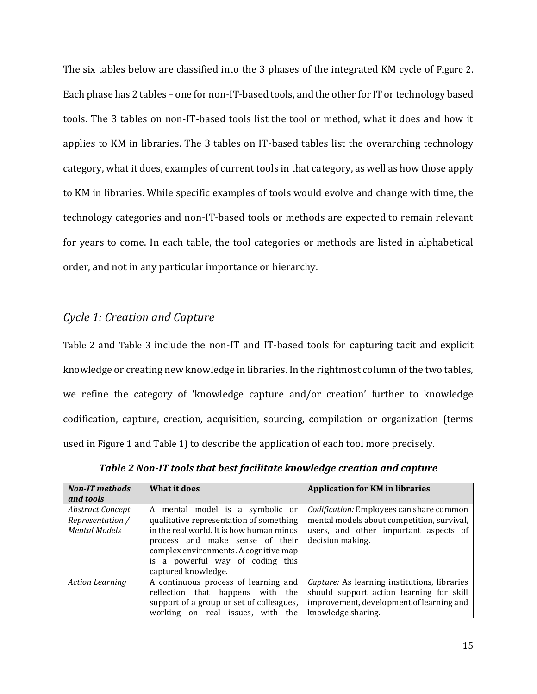The six tables below are classified into the 3 phases of the integrated KM cycle of [Figure 2](#page-10-0). Each phase has 2 tables – one for non-IT-based tools, and the other for IT or technology based tools. The 3 tables on non-IT-based tools list the tool or method, what it does and how it applies to KM in libraries. The 3 tables on IT-based tables list the overarching technology category, what it does, examples of current tools in that category, as well as how those apply to KM in libraries. While specific examples of tools would evolve and change with time, the technology categories and non-IT-based tools or methods are expected to remain relevant for years to come. In each table, the tool categories or methods are listed in alphabetical order, and not in any particular importance or hierarchy.

#### *Cycle 1: Creation and Capture*

[Table 2](#page-14-0) and [Table 3](#page-16-0) include the non-IT and IT-based tools for capturing tacit and explicit knowledge or creating new knowledge in libraries. In the rightmost column of the two tables, we refine the category of 'knowledge capture and/or creation' further to knowledge codification, capture, creation, acquisition, sourcing, compilation or organization (terms used in [Figure 1](#page-8-0) and Table 1) to describe the application of each tool more precisely.

<span id="page-14-0"></span>

| <b>Non-IT</b> methods                                               | What it does                                                                                                                                                                                                                                                  | <b>Application for KM in libraries</b>                                                                                                                     |
|---------------------------------------------------------------------|---------------------------------------------------------------------------------------------------------------------------------------------------------------------------------------------------------------------------------------------------------------|------------------------------------------------------------------------------------------------------------------------------------------------------------|
| and tools                                                           |                                                                                                                                                                                                                                                               |                                                                                                                                                            |
| <b>Abstract Concept</b><br>Representation /<br><b>Mental Models</b> | A mental model is a symbolic or<br>qualitative representation of something<br>in the real world. It is how human minds<br>process and make sense of their<br>complex environments. A cognitive map<br>is a powerful way of coding this<br>captured knowledge. | Codification: Employees can share common<br>mental models about competition, survival,<br>users, and other important aspects of<br>decision making.        |
| <b>Action Learning</b>                                              | A continuous process of learning and<br>reflection that happens with the<br>support of a group or set of colleagues,<br>working on real issues, with the                                                                                                      | Capture: As learning institutions, libraries<br>should support action learning for skill<br>improvement, development of learning and<br>knowledge sharing. |

*Table 2 Non-IT tools that best facilitate knowledge creation and capture*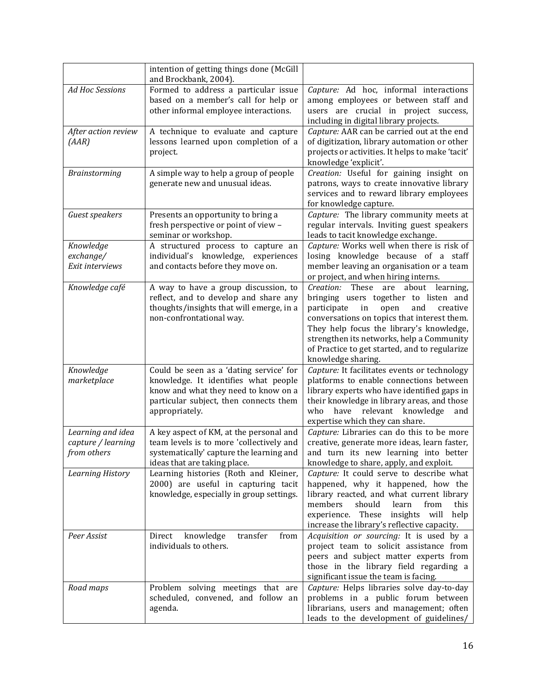|                                                        | intention of getting things done (McGill<br>and Brockbank, 2004).                                                                                                                   |                                                                                                                                                                                                                                                                                                                                                   |
|--------------------------------------------------------|-------------------------------------------------------------------------------------------------------------------------------------------------------------------------------------|---------------------------------------------------------------------------------------------------------------------------------------------------------------------------------------------------------------------------------------------------------------------------------------------------------------------------------------------------|
| <b>Ad Hoc Sessions</b>                                 | Formed to address a particular issue<br>based on a member's call for help or<br>other informal employee interactions.                                                               | Capture: Ad hoc, informal interactions<br>among employees or between staff and<br>users are crucial in project success,<br>including in digital library projects.                                                                                                                                                                                 |
| After action review<br>(AAR)                           | A technique to evaluate and capture<br>lessons learned upon completion of a<br>project.                                                                                             | Capture: AAR can be carried out at the end<br>of digitization, library automation or other<br>projects or activities. It helps to make 'tacit'<br>knowledge 'explicit'.                                                                                                                                                                           |
| Brainstorming                                          | A simple way to help a group of people<br>generate new and unusual ideas.                                                                                                           | Creation: Useful for gaining insight on<br>patrons, ways to create innovative library<br>services and to reward library employees<br>for knowledge capture.                                                                                                                                                                                       |
| Guest speakers                                         | Presents an opportunity to bring a<br>fresh perspective or point of view -<br>seminar or workshop.                                                                                  | Capture: The library community meets at<br>regular intervals. Inviting guest speakers<br>leads to tacit knowledge exchange.                                                                                                                                                                                                                       |
| Knowledge<br>exchange/<br>Exit interviews              | A structured process to capture an<br>individual's knowledge, experiences<br>and contacts before they move on.                                                                      | Capture: Works well when there is risk of<br>losing knowledge because of a staff<br>member leaving an organisation or a team<br>or project, and when hiring interns.                                                                                                                                                                              |
| Knowledge café                                         | A way to have a group discussion, to<br>reflect, and to develop and share any<br>thoughts/insights that will emerge, in a<br>non-confrontational way.                               | Creation: These<br>about learning,<br>are<br>bringing users together to listen and<br>participate<br>in<br>open<br>and<br>creative<br>conversations on topics that interest them.<br>They help focus the library's knowledge,<br>strengthen its networks, help a Community<br>of Practice to get started, and to regularize<br>knowledge sharing. |
| Knowledge<br>marketplace                               | Could be seen as a 'dating service' for<br>knowledge. It identifies what people<br>know and what they need to know on a<br>particular subject, then connects them<br>appropriately. | Capture: It facilitates events or technology<br>platforms to enable connections between<br>library experts who have identified gaps in<br>their knowledge in library areas, and those<br>have relevant knowledge<br>who<br>and<br>expertise which they can share.                                                                                 |
| Learning and idea<br>capture / learning<br>from others | A key aspect of KM, at the personal and<br>team levels is to more 'collectively and<br>systematically' capture the learning and<br>ideas that are taking place.                     | Capture: Libraries can do this to be more<br>creative, generate more ideas, learn faster,<br>and turn its new learning into better<br>knowledge to share, apply, and exploit.                                                                                                                                                                     |
| Learning History                                       | Learning histories (Roth and Kleiner,<br>2000) are useful in capturing tacit<br>knowledge, especially in group settings.                                                            | Capture: It could serve to describe what<br>happened, why it happened, how the<br>library reacted, and what current library<br>members<br>should<br>learn<br>from<br>this<br>experience. These<br>insights will<br>help<br>increase the library's reflective capacity.                                                                            |
| Peer Assist                                            | knowledge<br>transfer<br>Direct<br>from<br>individuals to others.                                                                                                                   | Acquisition or sourcing: It is used by a<br>project team to solicit assistance from<br>peers and subject matter experts from<br>those in the library field regarding a<br>significant issue the team is facing.                                                                                                                                   |
| Road maps                                              | Problem solving meetings that are<br>scheduled, convened, and follow an<br>agenda.                                                                                                  | Capture: Helps libraries solve day-to-day<br>problems in a public forum between<br>librarians, users and management; often<br>leads to the development of guidelines/                                                                                                                                                                             |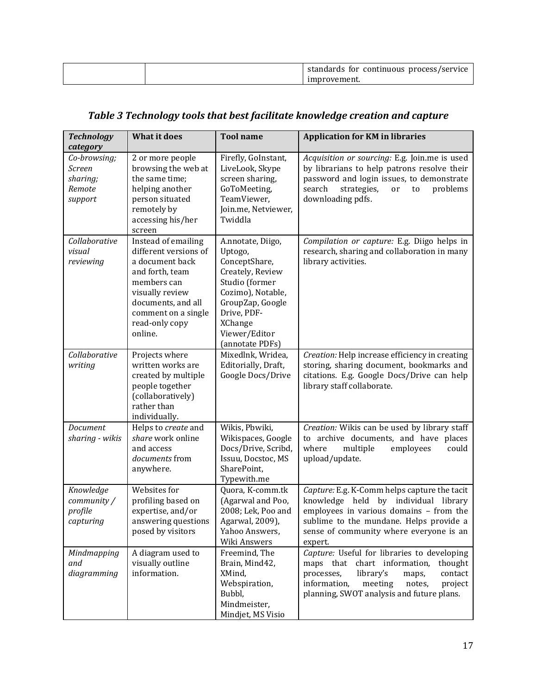|  | standards for continuous process/service |
|--|------------------------------------------|
|  | 1provement.                              |

# *Table 3 Technology tools that best facilitate knowledge creation and capture*

<span id="page-16-0"></span>

| <b>Technology</b><br>category                           | <b>What it does</b>                                                                                                                                                                            | <b>Tool name</b>                                                                                                                                                                                  | <b>Application for KM in libraries</b>                                                                                                                                                                                             |
|---------------------------------------------------------|------------------------------------------------------------------------------------------------------------------------------------------------------------------------------------------------|---------------------------------------------------------------------------------------------------------------------------------------------------------------------------------------------------|------------------------------------------------------------------------------------------------------------------------------------------------------------------------------------------------------------------------------------|
| Co-browsing;<br>Screen<br>sharing;<br>Remote<br>support | 2 or more people<br>browsing the web at<br>the same time;<br>helping another<br>person situated<br>remotely by<br>accessing his/her<br>screen                                                  | Firefly, GoInstant,<br>LiveLook, Skype<br>screen sharing,<br>GoToMeeting,<br>TeamViewer,<br>Join.me, Netviewer,<br>Twiddla                                                                        | Acquisition or sourcing: E.g. Join.me is used<br>by librarians to help patrons resolve their<br>password and login issues, to demonstrate<br>search<br>strategies,<br>problems<br>or<br>to<br>downloading pdfs.                    |
| Collaborative<br>visual<br>reviewing                    | Instead of emailing<br>different versions of<br>a document back<br>and forth, team<br>members can<br>visually review<br>documents, and all<br>comment on a single<br>read-only copy<br>online. | A.nnotate, Diigo,<br>Uptogo,<br>ConceptShare,<br>Creately, Review<br>Studio (former<br>Cozimo), Notable,<br>GroupZap, Google<br>Drive, PDF-<br><b>XChange</b><br>Viewer/Editor<br>(annotate PDFs) | Compilation or capture: E.g. Diigo helps in<br>research, sharing and collaboration in many<br>library activities.                                                                                                                  |
| Collaborative<br>writing                                | Projects where<br>written works are<br>created by multiple<br>people together<br>(collaboratively)<br>rather than<br>individually.                                                             | Mixedlnk, Wridea,<br>Editorially, Draft,<br>Google Docs/Drive                                                                                                                                     | Creation: Help increase efficiency in creating<br>storing, sharing document, bookmarks and<br>citations. E.g. Google Docs/Drive can help<br>library staff collaborate.                                                             |
| Document<br>sharing - wikis                             | Helps to create and<br>share work online<br>and access<br>documents from<br>anywhere.                                                                                                          | Wikis, Pbwiki,<br>Wikispaces, Google<br>Docs/Drive, Scribd,<br>Issuu, Docstoc, MS<br>SharePoint,<br>Typewith.me                                                                                   | Creation: Wikis can be used by library staff<br>to archive documents, and have places<br>where<br>multiple<br>employees<br>could<br>upload/update.                                                                                 |
| Knowledge<br>community /<br>profile<br>capturing        | Websites for<br>profiling based on<br>expertise, and/or<br>answering questions<br>posed by visitors                                                                                            | Quora, K-comm.tk<br>(Agarwal and Poo,<br>2008; Lek, Poo and<br>Agarwal, 2009),<br>Yahoo Answers,<br>Wiki Answers                                                                                  | Capture: E.g. K-Comm helps capture the tacit<br>knowledge held by individual library<br>employees in various domains - from the<br>sublime to the mundane. Helps provide a<br>sense of community where everyone is an<br>expert.   |
| Mindmapping<br>and<br>diagramming                       | A diagram used to<br>visually outline<br>information.                                                                                                                                          | Freemind, The<br>Brain, Mind42,<br>XMind,<br>Webspiration,<br>Bubbl,<br>Mindmeister,<br>Mindjet, MS Visio                                                                                         | Capture: Useful for libraries to developing<br>maps that chart information,<br>thought<br>library's<br>processes,<br>contact<br>maps,<br>information,<br>meeting<br>notes,<br>project<br>planning, SWOT analysis and future plans. |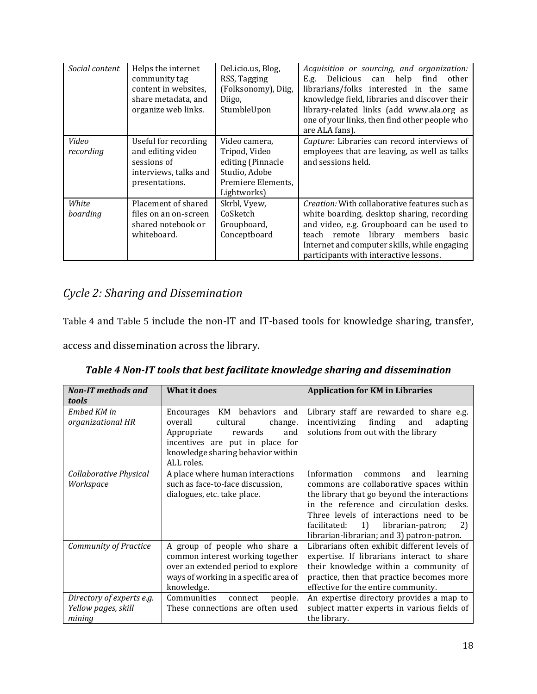| Social content     | Helps the internet<br>community tag<br>content in websites,<br>share metadata, and<br>organize web links. | Del.icio.us, Blog,<br>RSS, Tagging<br>(Folksonomy), Diig,<br>Diigo,<br>StumbleUpon                        | Acquisition or sourcing, and organization:<br>Delicious can help<br>E.g.<br>find<br>other<br>librarians/folks interested in the<br>same<br>knowledge field, libraries and discover their<br>library-related links (add www.ala.org as<br>one of your links, then find other people who<br>are ALA fans). |
|--------------------|-----------------------------------------------------------------------------------------------------------|-----------------------------------------------------------------------------------------------------------|----------------------------------------------------------------------------------------------------------------------------------------------------------------------------------------------------------------------------------------------------------------------------------------------------------|
| Video<br>recording | Useful for recording<br>and editing video<br>sessions of<br>interviews, talks and<br>presentations.       | Video camera,<br>Tripod, Video<br>editing (Pinnacle<br>Studio, Adobe<br>Premiere Elements,<br>Lightworks) | Capture: Libraries can record interviews of<br>employees that are leaving, as well as talks<br>and sessions held.                                                                                                                                                                                        |
| White<br>boarding  | Placement of shared<br>files on an on-screen<br>shared notebook or<br>whiteboard.                         | Skrbl, Vyew,<br>CoSketch<br>Groupboard,<br>Conceptboard                                                   | Creation: With collaborative features such as<br>white boarding, desktop sharing, recording<br>and video, e.g. Groupboard can be used to<br>library members<br>teach remote<br>basic<br>Internet and computer skills, while engaging<br>participants with interactive lessons.                           |

# *Cycle 2: Sharing and Dissemination*

Table 4 and Table 5 include the non-IT and IT-based tools for knowledge sharing, transfer,

access and dissemination across the library.

<span id="page-17-0"></span>

| <b>Non-IT</b> methods and<br>tools                         | <b>What it does</b>                                                                                                                                                                        | <b>Application for KM in Libraries</b>                                                                                                                                                                                                                                                                                   |
|------------------------------------------------------------|--------------------------------------------------------------------------------------------------------------------------------------------------------------------------------------------|--------------------------------------------------------------------------------------------------------------------------------------------------------------------------------------------------------------------------------------------------------------------------------------------------------------------------|
| Embed KM in<br>organizational HR                           | KM behaviors<br>Encourages<br>and<br>overall<br>cultural<br>change.<br>rewards<br>and<br>Appropriate<br>incentives are put in place for<br>knowledge sharing behavior within<br>ALL roles. | Library staff are rewarded to share e.g.<br>finding<br>incentivizing<br>and<br>adapting<br>solutions from out with the library                                                                                                                                                                                           |
| Collaborative Physical<br>Workspace                        | A place where human interactions<br>such as face-to-face discussion,<br>dialogues, etc. take place.                                                                                        | Information<br>and<br>learning<br>commons<br>commons are collaborative spaces within<br>the library that go beyond the interactions<br>in the reference and circulation desks.<br>Three levels of interactions need to be<br>1)<br>librarian-patron;<br>facilitated:<br>2)<br>librarian-librarian; and 3) patron-patron. |
| <b>Community of Practice</b>                               | A group of people who share a<br>common interest working together<br>over an extended period to explore<br>ways of working in a specific area of<br>knowledge.                             | Librarians often exhibit different levels of<br>expertise. If librarians interact to share<br>their knowledge within a community of<br>practice, then that practice becomes more<br>effective for the entire community.                                                                                                  |
| Directory of experts e.g.<br>Yellow pages, skill<br>mining | Communities<br>people.<br>connect<br>These connections are often used                                                                                                                      | An expertise directory provides a map to<br>subject matter experts in various fields of<br>the library.                                                                                                                                                                                                                  |

*Table 4 Non-IT tools that best facilitate knowledge sharing and dissemination*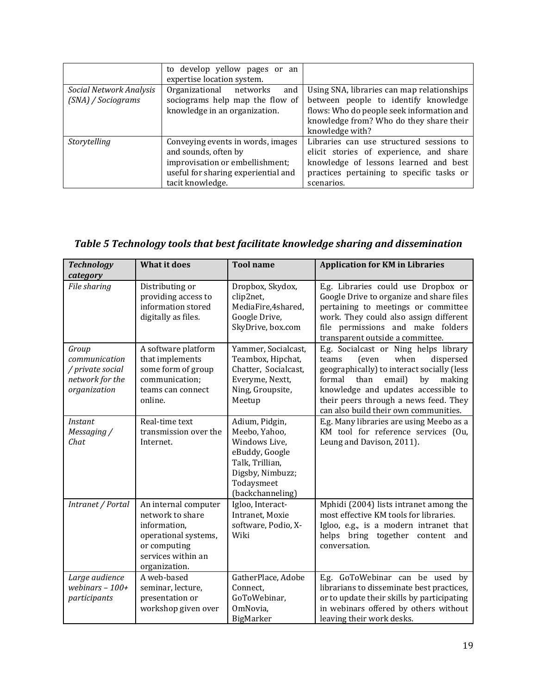|                                               | to develop yellow pages or an<br>expertise location system.                                                                                             |                                                                                                                                                                                               |
|-----------------------------------------------|---------------------------------------------------------------------------------------------------------------------------------------------------------|-----------------------------------------------------------------------------------------------------------------------------------------------------------------------------------------------|
| Social Network Analysis<br>(SNA) / Sociograms | Organizational networks<br>and<br>sociograms help map the flow of<br>knowledge in an organization.                                                      | Using SNA, libraries can map relationships<br>between people to identify knowledge<br>flows: Who do people seek information and<br>knowledge from? Who do they share their<br>knowledge with? |
| Storytelling                                  | Conveying events in words, images<br>and sounds, often by<br>improvisation or embellishment;<br>useful for sharing experiential and<br>tacit knowledge. | Libraries can use structured sessions to<br>elicit stories of experience, and share<br>knowledge of lessons learned and best<br>practices pertaining to specific tasks or<br>scenarios.       |

# <span id="page-18-0"></span>*Table 5 Technology tools that best facilitate knowledge sharing and dissemination*

| <b>Technology</b><br>category                                                 | <b>What it does</b>                                                                                                                     | <b>Tool name</b>                                                                                                                            | <b>Application for KM in Libraries</b>                                                                                                                                                                                                                                                          |
|-------------------------------------------------------------------------------|-----------------------------------------------------------------------------------------------------------------------------------------|---------------------------------------------------------------------------------------------------------------------------------------------|-------------------------------------------------------------------------------------------------------------------------------------------------------------------------------------------------------------------------------------------------------------------------------------------------|
| File sharing                                                                  | Distributing or<br>providing access to<br>information stored<br>digitally as files.                                                     | Dropbox, Skydox,<br>clip2net,<br>MediaFire,4shared,<br>Google Drive,<br>SkyDrive, box.com                                                   | E.g. Libraries could use Dropbox or<br>Google Drive to organize and share files<br>pertaining to meetings or committee<br>work. They could also assign different<br>file permissions and make folders<br>transparent outside a committee.                                                       |
| Group<br>communication<br>/ private social<br>network for the<br>organization | A software platform<br>that implements<br>some form of group<br>communication;<br>teams can connect<br>online.                          | Yammer, Socialcast,<br>Teambox, Hipchat,<br>Chatter, Socialcast,<br>Everyme, Nextt,<br>Ning, Groupsite,<br>Meetup                           | E.g. Socialcast or Ning helps library<br>dispersed<br>when<br>teams<br>(even<br>geographically) to interact socially (less<br>formal<br>than<br>email)<br>by<br>making<br>knowledge and updates accessible to<br>their peers through a news feed. They<br>can also build their own communities. |
| Instant<br>Messaging /<br>Chat                                                | Real-time text<br>transmission over the<br>Internet.                                                                                    | Adium, Pidgin,<br>Meebo, Yahoo,<br>Windows Live,<br>eBuddy, Google<br>Talk, Trillian,<br>Digsby, Nimbuzz;<br>Todaysmeet<br>(backchanneling) | E.g. Many libraries are using Meebo as a<br>KM tool for reference services (Ou,<br>Leung and Davison, 2011).                                                                                                                                                                                    |
| Intranet / Portal                                                             | An internal computer<br>network to share<br>information,<br>operational systems,<br>or computing<br>services within an<br>organization. | Igloo, Interact-<br>Intranet, Moxie<br>software, Podio, X-<br>Wiki                                                                          | Mphidi (2004) lists intranet among the<br>most effective KM tools for libraries.<br>Igloo, e.g., is a modern intranet that<br>helps bring together<br>content<br>and<br>conversation.                                                                                                           |
| Large audience<br>webinars $-100+$<br>participants                            | A web-based<br>seminar, lecture,<br>presentation or<br>workshop given over                                                              | GatherPlace, Adobe<br>Connect,<br>GoToWebinar,<br>OmNovia,<br>BigMarker                                                                     | E.g. GoToWebinar can be used by<br>librarians to disseminate best practices,<br>or to update their skills by participating<br>in webinars offered by others without<br>leaving their work desks.                                                                                                |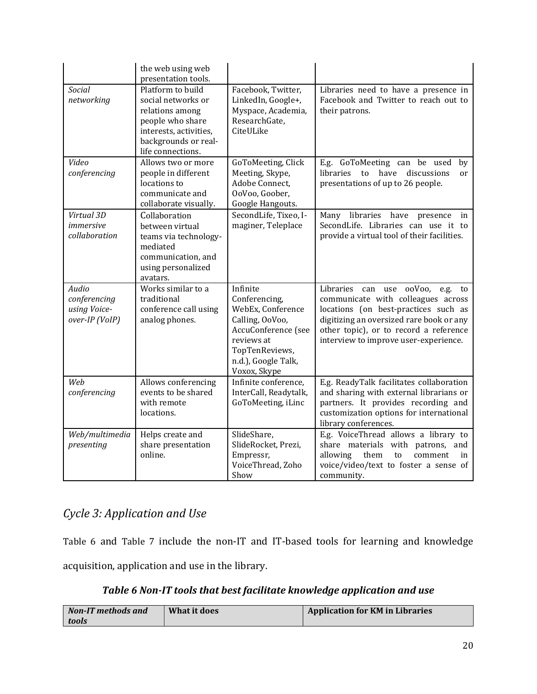|                                                         | the web using web<br>presentation tools.                                                                                                              |                                                                                                                                                                 |                                                                                                                                                                                                                                                  |
|---------------------------------------------------------|-------------------------------------------------------------------------------------------------------------------------------------------------------|-----------------------------------------------------------------------------------------------------------------------------------------------------------------|--------------------------------------------------------------------------------------------------------------------------------------------------------------------------------------------------------------------------------------------------|
| Social<br>networking                                    | Platform to build<br>social networks or<br>relations among<br>people who share<br>interests, activities,<br>backgrounds or real-<br>life connections. | Facebook, Twitter,<br>LinkedIn, Google+,<br>Myspace, Academia,<br>ResearchGate,<br>CiteULike                                                                    | Libraries need to have a presence in<br>Facebook and Twitter to reach out to<br>their patrons.                                                                                                                                                   |
| Video<br>conferencing                                   | Allows two or more<br>people in different<br>locations to<br>communicate and<br>collaborate visually.                                                 | GoToMeeting, Click<br>Meeting, Skype,<br>Adobe Connect,<br>OoVoo, Goober,<br>Google Hangouts.                                                                   | E.g. GoToMeeting can be used<br>by<br>have<br>discussions<br><i>libraries</i><br>to<br><sub>or</sub><br>presentations of up to 26 people.                                                                                                        |
| Virtual 3D<br>immersive<br>collaboration                | Collaboration<br>between virtual<br>teams via technology-<br>mediated<br>communication, and<br>using personalized<br>avatars.                         | SecondLife, Tixeo, I-<br>maginer, Teleplace                                                                                                                     | Many libraries have presence<br>in<br>SecondLife. Libraries can use it to<br>provide a virtual tool of their facilities.                                                                                                                         |
| Audio<br>conferencing<br>using Voice-<br>over-IP (VoIP) | Works similar to a<br>traditional<br>conference call using<br>analog phones.                                                                          | Infinite<br>Conferencing,<br>WebEx, Conference<br>Calling, OoVoo,<br>AccuConference (see<br>reviews at<br>TopTenReviews,<br>n.d.), Google Talk,<br>Voxox, Skype | Libraries can use ooVoo, e.g.<br>to<br>communicate with colleagues across<br>locations (on best-practices such as<br>digitizing an oversized rare book or any<br>other topic), or to record a reference<br>interview to improve user-experience. |
| Web<br>conferencing                                     | Allows conferencing<br>events to be shared<br>with remote<br>locations.                                                                               | Infinite conference,<br>InterCall, Readytalk,<br>GoToMeeting, iLinc                                                                                             | E.g. ReadyTalk facilitates collaboration<br>and sharing with external librarians or<br>partners. It provides recording and<br>customization options for international<br>library conferences.                                                    |
| Web/multimedia<br>presenting                            | Helps create and<br>share presentation<br>online.                                                                                                     | SlideShare,<br>SlideRocket, Prezi,<br>Empressr,<br>VoiceThread, Zoho<br>Show                                                                                    | E.g. VoiceThread allows a library to<br>share materials with patrons, and<br>allowing<br>them<br>to<br>comment<br>in<br>voice/video/text to foster a sense of<br>community.                                                                      |

# *Cycle 3: Application and Use*

[Table 6](#page-19-0) and [Table 7](#page-20-0) include the non-IT and IT-based tools for learning and knowledge acquisition, application and use in the library.

# *Table 6 Non-IT tools that best facilitate knowledge application and use*

<span id="page-19-0"></span>

| <b>Non-IT</b> methods and | What it does | <b>Application for KM in Libraries</b> |
|---------------------------|--------------|----------------------------------------|
| tools                     |              |                                        |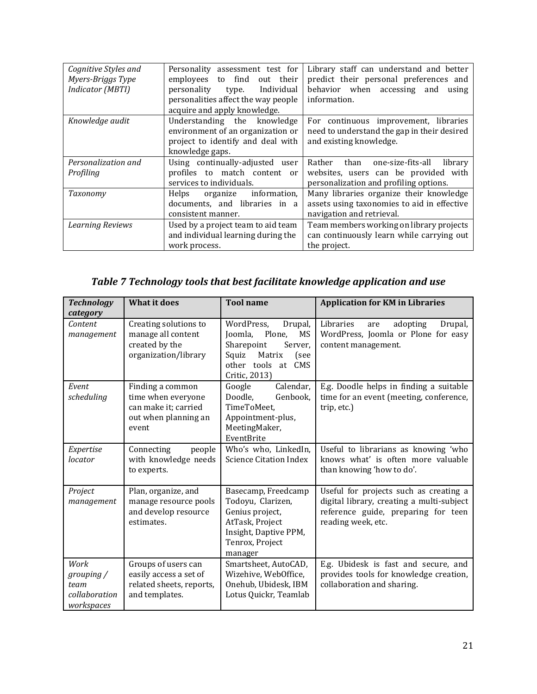| Cognitive Styles and<br>Myers-Briggs Type<br>Indicator (MBTI) | Personality assessment test for<br>find<br>employees<br>out their<br>to<br>personality<br>Individual<br>type.<br>personalities affect the way people<br>acquire and apply knowledge. | Library staff can understand and better<br>predict their personal preferences and<br>behavior when accessing and<br>using<br>information. |
|---------------------------------------------------------------|--------------------------------------------------------------------------------------------------------------------------------------------------------------------------------------|-------------------------------------------------------------------------------------------------------------------------------------------|
| Knowledge audit                                               | Understanding the knowledge<br>environment of an organization or<br>project to identify and deal with<br>knowledge gaps.                                                             | For continuous improvement, libraries<br>need to understand the gap in their desired<br>and existing knowledge.                           |
| Personalization and<br>Profiling                              | Using continually-adjusted user<br>profiles to match content or<br>services to individuals.                                                                                          | Rather than one-size-fits-all<br>library<br>websites, users can be provided with<br>personalization and profiling options.                |
| Taxonomy                                                      | information,<br>Helps<br>organize<br>documents, and libraries in a<br>consistent manner.                                                                                             | Many libraries organize their knowledge<br>assets using taxonomies to aid in effective<br>navigation and retrieval.                       |
| <b>Learning Reviews</b>                                       | Used by a project team to aid team<br>and individual learning during the<br>work process.                                                                                            | Team members working on library projects<br>can continuously learn while carrying out<br>the project.                                     |

# *Table 7 Technology tools that best facilitate knowledge application and use*

<span id="page-20-0"></span>

| <b>Technology</b><br>category                             | <b>What it does</b>                                                                             | <b>Tool name</b>                                                                                                                               | <b>Application for KM in Libraries</b>                                                                                                           |
|-----------------------------------------------------------|-------------------------------------------------------------------------------------------------|------------------------------------------------------------------------------------------------------------------------------------------------|--------------------------------------------------------------------------------------------------------------------------------------------------|
| Content<br>management                                     | Creating solutions to<br>manage all content<br>created by the<br>organization/library           | WordPress,<br>Drupal,<br>Plone,<br>MS<br>Joomla,<br>Sharepoint<br>Server,<br>Matrix<br>Squiz<br>(see<br>other tools at<br>CMS<br>Critic, 2013) | Libraries<br>adopting<br>Drupal,<br>are<br>WordPress, Joomla or Plone for easy<br>content management.                                            |
| Event<br>scheduling                                       | Finding a common<br>time when everyone<br>can make it; carried<br>out when planning an<br>event | Calendar,<br>Google<br>Doodle,<br>Genbook,<br>TimeToMeet,<br>Appointment-plus,<br>MeetingMaker,<br>EventBrite                                  | E.g. Doodle helps in finding a suitable<br>time for an event (meeting, conference,<br>trip, etc.)                                                |
| Expertise<br>locator                                      | Connecting<br>people<br>with knowledge needs<br>to experts.                                     | Who's who, LinkedIn,<br><b>Science Citation Index</b>                                                                                          | Useful to librarians as knowing 'who<br>knows what' is often more valuable<br>than knowing 'how to do'.                                          |
| Project<br>management                                     | Plan, organize, and<br>manage resource pools<br>and develop resource<br>estimates.              | Basecamp, Freedcamp<br>Todoyu, Clarizen,<br>Genius project,<br>AtTask, Project<br>Insight, Daptive PPM,<br>Tenrox, Project<br>manager          | Useful for projects such as creating a<br>digital library, creating a multi-subject<br>reference guide, preparing for teen<br>reading week, etc. |
| Work<br>grouping /<br>team<br>collaboration<br>workspaces | Groups of users can<br>easily access a set of<br>related sheets, reports,<br>and templates.     | Smartsheet, AutoCAD,<br>Wizehive, WebOffice,<br>Onehub, Ubidesk, IBM<br>Lotus Quickr, Teamlab                                                  | E.g. Ubidesk is fast and secure, and<br>provides tools for knowledge creation,<br>collaboration and sharing.                                     |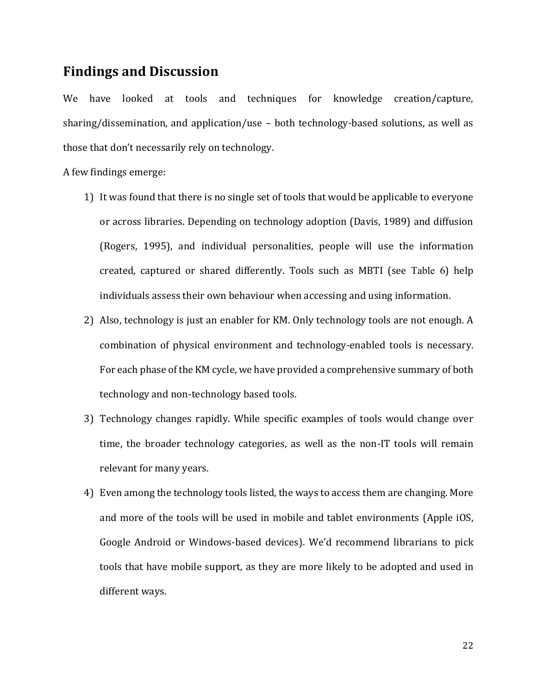### **Findings and Discussion**

We have looked at tools and techniques for knowledge creation/capture, sharing/dissemination, and application/use – both technology-based solutions, as well as those that don't necessarily rely on technology.

A few findings emerge:

- 1) It was found that there is no single set of tools that would be applicable to everyone or across libraries. Depending on technology adoption (Davis, 1989) and diffusion (Rogers, 1995), and individual personalities, people will use the information created, captured or shared differently. Tools such as MBTI (see [Table 6](#page-19-0)) help individuals assess their own behaviour when accessing and using information.
- 2) Also, technology is just an enabler for KM. Only technology tools are not enough. A combination of physical environment and technology-enabled tools is necessary. For each phase of the KM cycle, we have provided a comprehensive summary of both technology and non-technology based tools.
- 3) Technology changes rapidly. While specific examples of tools would change over time, the broader technology categories, as well as the non-IT tools will remain relevant for many years.
- 4) Even among the technology tools listed, the ways to access them are changing. More and more of the tools will be used in mobile and tablet environments (Apple iOS, Google Android or Windows-based devices). We'd recommend librarians to pick tools that have mobile support, as they are more likely to be adopted and used in different ways.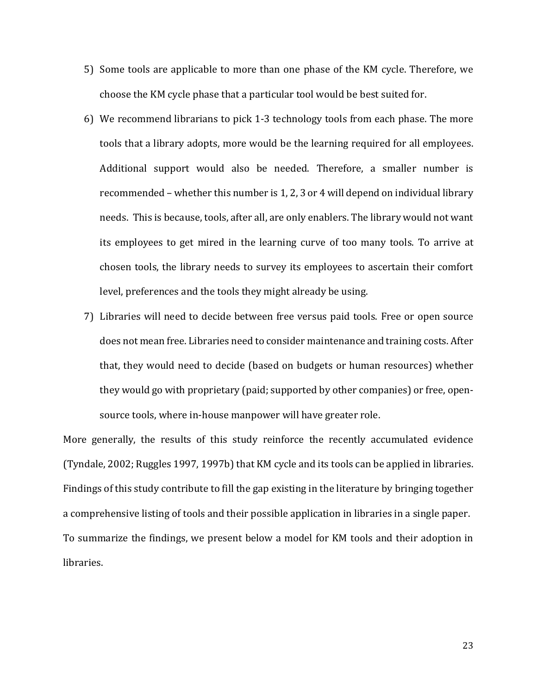- 5) Some tools are applicable to more than one phase of the KM cycle. Therefore, we choose the KM cycle phase that a particular tool would be best suited for.
- 6) We recommend librarians to pick 1-3 technology tools from each phase. The more tools that a library adopts, more would be the learning required for all employees. Additional support would also be needed. Therefore, a smaller number is recommended – whether this number is 1, 2, 3 or 4 will depend on individual library needs. This is because, tools, after all, are only enablers. The library would not want its employees to get mired in the learning curve of too many tools. To arrive at chosen tools, the library needs to survey its employees to ascertain their comfort level, preferences and the tools they might already be using.
- 7) Libraries will need to decide between free versus paid tools. Free or open source does not mean free. Libraries need to consider maintenance and training costs. After that, they would need to decide (based on budgets or human resources) whether they would go with proprietary (paid; supported by other companies) or free, opensource tools, where in-house manpower will have greater role.

More generally, the results of this study reinforce the recently accumulated evidence (Tyndale, 2002; Ruggles 1997, 1997b) that KM cycle and its tools can be applied in libraries. Findings of this study contribute to fill the gap existing in the literature by bringing together a comprehensive listing of tools and their possible application in libraries in a single paper. To summarize the findings, we present below a model for KM tools and their adoption in libraries.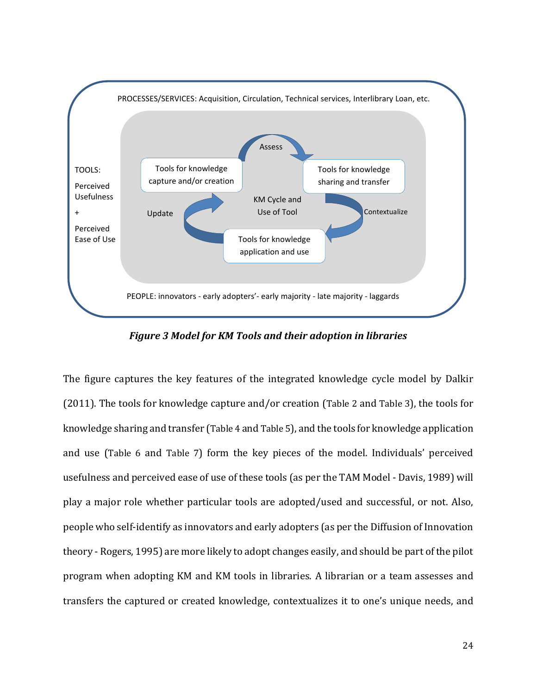

*Figure 3 Model for KM Tools and their adoption in libraries*

The figure captures the key features of the integrated knowledge cycle model by Dalkir (2011). The tools for knowledge capture and/or creation ([Table 2](#page-14-0) and [Table 3](#page-16-0)), the tools for knowledge sharing and transfer ([Table 4](#page-17-0) and [Table 5](#page-18-0)), and the tools for knowledge application and use ([Table 6](#page-19-0) and [Table 7](#page-20-0)) form the key pieces of the model. Individuals' perceived usefulness and perceived ease of use of these tools (as per the TAM Model - Davis, 1989) will play a major role whether particular tools are adopted/used and successful, or not. Also, people who self-identify as innovators and early adopters (as per the Diffusion of Innovation theory - Rogers, 1995) are more likely to adopt changes easily, and should be part of the pilot program when adopting KM and KM tools in libraries. A librarian or a team assesses and transfers the captured or created knowledge, contextualizes it to one's unique needs, and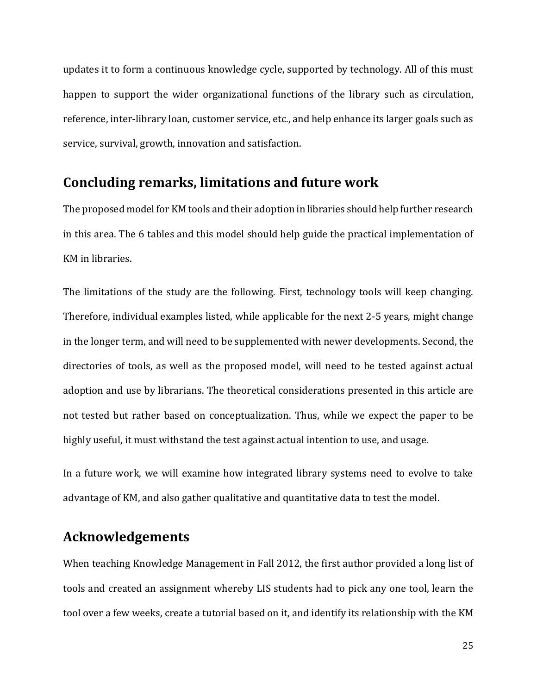updates it to form a continuous knowledge cycle, supported by technology. All of this must happen to support the wider organizational functions of the library such as circulation, reference, inter-library loan, customer service, etc., and help enhance its larger goals such as service, survival, growth, innovation and satisfaction.

#### **Concluding remarks, limitations and future work**

The proposed model for KM tools and their adoption in libraries should help further research in this area. The 6 tables and this model should help guide the practical implementation of KM in libraries.

The limitations of the study are the following. First, technology tools will keep changing. Therefore, individual examples listed, while applicable for the next 2-5 years, might change in the longer term, and will need to be supplemented with newer developments. Second, the directories of tools, as well as the proposed model, will need to be tested against actual adoption and use by librarians. The theoretical considerations presented in this article are not tested but rather based on conceptualization. Thus, while we expect the paper to be highly useful, it must withstand the test against actual intention to use, and usage.

In a future work, we will examine how integrated library systems need to evolve to take advantage of KM, and also gather qualitative and quantitative data to test the model.

# **Acknowledgements**

When teaching Knowledge Management in Fall 2012, the first author provided a long list of tools and created an assignment whereby LIS students had to pick any one tool, learn the tool over a few weeks, create a tutorial based on it, and identify its relationship with the KM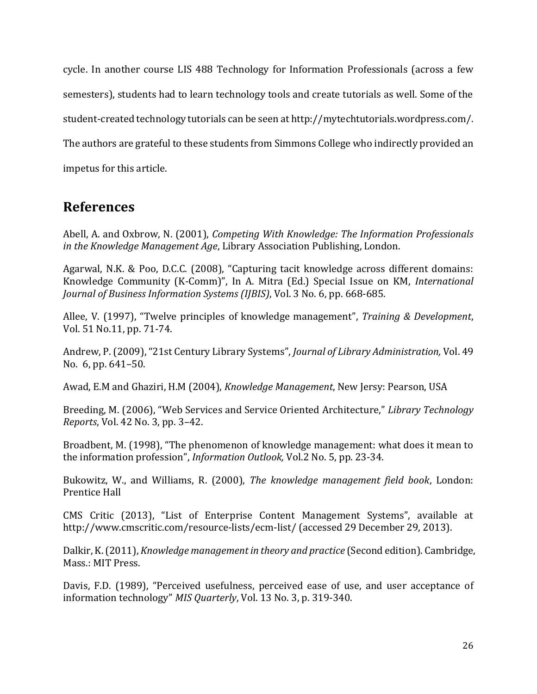cycle. In another course LIS 488 Technology for Information Professionals (across a few semesters), students had to learn technology tools and create tutorials as well. Some of the student-created technology tutorials can be seen at [http://mytechtutorials.wordpress.com/.](http://mytechtutorials.wordpress.com/) The authors are grateful to these students from Simmons College who indirectly provided an impetus for this article.

# **References**

Abell, A. and Oxbrow, N. (2001), *Competing With Knowledge: The Information Professionals in the Knowledge Management Age*, Library Association Publishing, London.

Agarwal, N.K. & Poo, D.C.C. (2008), "Capturing tacit knowledge across different domains: Knowledge Community (K-Comm)", In A. Mitra (Ed.) Special Issue on KM, *International Journal of Business Information Systems (IJBIS)*, Vol. 3 No. 6, pp. 668-685.

Allee, V. (1997), "Twelve principles of knowledge management", *Training & Development*, Vol. 51 No.11, pp. 71-74.

Andrew, P. (2009), "21st Century Library Systems", *Journal of Library Administration,* Vol. 49 No. 6, pp. 641–50.

Awad, E.M and Ghaziri, H.M (2004), *Knowledge Management*, New Jersy: Pearson, USA

Breeding, M. (2006), "Web Services and Service Oriented Architecture," *Library Technology Reports*, Vol. 42 No. 3, pp. 3–42.

Broadbent, M. (1998), "The phenomenon of knowledge management: what does it mean to the information profession", *Information Outlook,* Vol.2 No. 5, pp. 23-34.

Bukowitz, W., and Williams, R. (2000), *The knowledge management field book*, London: Prentice Hall

CMS Critic (2013), "List of Enterprise Content Management Systems", available at <http://www.cmscritic.com/resource-lists/ecm-list/> (accessed 29 December 29, 2013).

Dalkir, K. (2011), *Knowledge management in theory and practice* (Second edition). Cambridge, Mass.: MIT Press.

Davis, F.D. (1989), "Perceived usefulness, perceived ease of use, and user acceptance of information technology" *MIS Quarterly*, Vol. 13 No. 3, p. 319-340.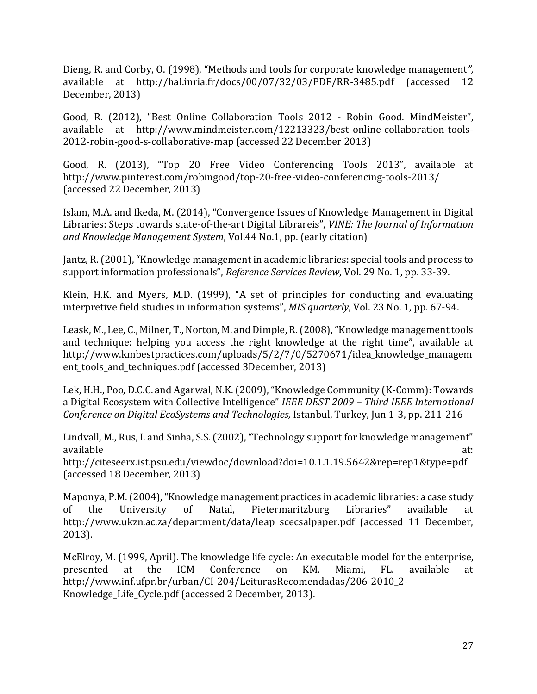Dieng, R. and Corby, O. (1998), "Methods and tools for corporate knowledge management*",*  available at <http://hal.inria.fr/docs/00/07/32/03/PDF/RR-3485.pdf> (accessed 12 December, 2013)

Good, R. (2012), "Best Online Collaboration Tools 2012 - Robin Good. MindMeister", available at [http://www.mindmeister.com/12213323/best-online-collaboration-tools-](http://www.mindmeister.com/12213323/best-online-collaboration-tools-2012-robin-good-s-collaborative-map)[2012-robin-good-s-collaborative-map](http://www.mindmeister.com/12213323/best-online-collaboration-tools-2012-robin-good-s-collaborative-map) (accessed 22 December 2013)

Good, R. (2013), "Top 20 Free Video Conferencing Tools 2013", available at <http://www.pinterest.com/robingood/top-20-free-video-conferencing-tools-2013/> (accessed 22 December, 2013)

Islam, M.A. and Ikeda, M. (2014), "Convergence Issues of Knowledge Management in Digital Libraries: Steps towards state-of-the-art Digital Librareis", *VINE: The Journal of Information and Knowledge Management System*, Vol.44 No.1, pp. (early citation)

Jantz, R. (2001), "Knowledge management in academic libraries: special tools and process to support information professionals", *Reference Services Review*, Vol. 29 No. 1, pp. 33-39.

Klein, H.K. and Myers, M.D. (1999), "A set of principles for conducting and evaluating interpretive field studies in information systems", *MIS quarterly*, Vol. 23 No. 1, pp. 67-94.

Leask, M., Lee, C., Milner, T., Norton, M. and Dimple, R. (2008), "Knowledge management tools and technique: helping you access the right knowledge at the right time", available at [http://www.kmbestpractices.com/uploads/5/2/7/0/5270671/idea\\_knowledge\\_managem](http://www.kmbestpractices.com/uploads/5/2/7/0/5270671/idea_knowledge_management_tools_and_techniques.pdf) [ent\\_tools\\_and\\_techniques.pdf](http://www.kmbestpractices.com/uploads/5/2/7/0/5270671/idea_knowledge_management_tools_and_techniques.pdf) (accessed 3December, 2013)

Lek, H.H., Poo, D.C.C. and Agarwal, N.K. (2009), "Knowledge Community (K-Comm): Towards a Digital Ecosystem with Collective Intelligence" *IEEE DEST 2009 – Third IEEE International Conference on Digital EcoSystems and Technologies,* Istanbul, Turkey, Jun 1-3, pp. 211-216

Lindvall, M., Rus, I. and Sinha, S.S. (2002), "Technology support for knowledge management" available at: and a state at a state at a state at a state at a state at a state at a state at a state at a st http://citeseerx.ist.psu.edu/viewdoc/download?doi=10.1.1.19.5642&rep=rep1&type=pdf (accessed 18 December, 2013)

Maponya, P.M. (2004), "Knowledge management practices in academic libraries: a case study of the University of Natal, Pietermaritzburg Libraries" available at http://www.ukzn.ac.za/department/data/leap scecsalpaper.pdf (accessed 11 December, 2013).

McElroy, M. (1999, April). The knowledge life cycle: An executable model for the enterprise, presented at the ICM Conference on KM. Miami, FL. available at [http://www.inf.ufpr.br/urban/CI-204/LeiturasRecomendadas/206-2010\\_2-](http://www.inf.ufpr.br/urban/CI-204/LeiturasRecomendadas/206-2010_2-Knowledge_Life_Cycle.pdf) [Knowledge\\_Life\\_Cycle.pdf](http://www.inf.ufpr.br/urban/CI-204/LeiturasRecomendadas/206-2010_2-Knowledge_Life_Cycle.pdf) (accessed 2 December, 2013).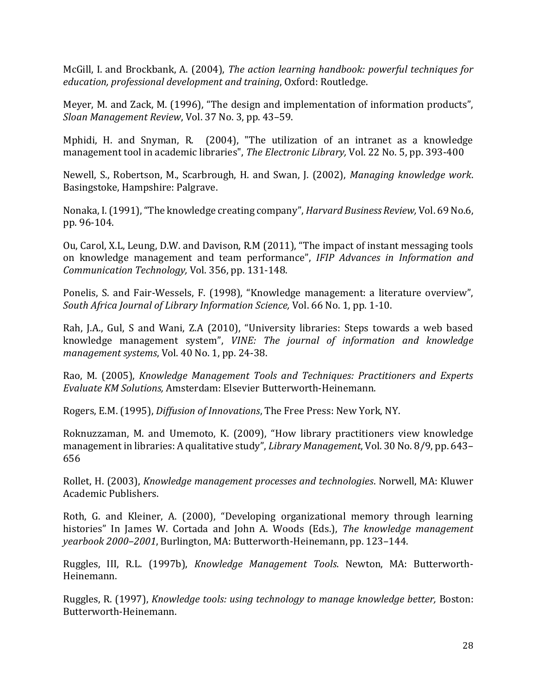McGill, I. and Brockbank, A. (2004), *The action learning handbook: powerful techniques for education, professional development and training*, Oxford: Routledge.

Meyer, M. and Zack, M. (1996), "The design and implementation of information products", *Sloan Management Review*, Vol. 37 No. 3, pp. 43–59.

Mphidi, H. and Snyman, R. (2004), "The utilization of an intranet as a knowledge management tool in academic libraries", *The Electronic Library,* Vol. 22 No. 5, pp. 393-400

Newell, S., Robertson, M., Scarbrough, H. and Swan, J. (2002), *Managing knowledge work*. Basingstoke, Hampshire: Palgrave.

Nonaka, I. (1991), "The knowledge creating company", *Harvard Business Review,* Vol. 69 No.6, pp. 96-104.

Ou, Carol, X.L, Leung, D.W. and Davison, R.M (2011), "The impact of instant messaging tools on knowledge management and team performance", *IFIP Advances in Information and Communication Technology,* Vol. 356, pp. 131-148.

Ponelis, S. and Fair-Wessels, F. (1998), "Knowledge management: a literature overview", *South Africa Journal of Library Information Science,* Vol. 66 No. 1, pp. 1-10.

Rah, J.A., Gul, S and Wani, Z.A (2010), "University libraries: Steps towards a web based knowledge management system", *VINE: The journal of information and knowledge management systems*, Vol. 40 No. 1, pp. 24-38.

Rao, M. (2005), *Knowledge Management Tools and Techniques: Practitioners and Experts Evaluate KM Solutions,* Amsterdam: Elsevier Butterworth-Heinemann.

Rogers, E.M. (1995), *Diffusion of Innovations*, The Free Press: New York, NY.

Roknuzzaman, M. and Umemoto, K. (2009), "How library practitioners view knowledge management in libraries: A qualitative study", *Library Management*, Vol. 30 No. 8/9, pp. 643– 656

Rollet, H. (2003), *Knowledge management processes and technologies*. Norwell, MA: Kluwer Academic Publishers.

Roth, G. and Kleiner, A. (2000), "Developing organizational memory through learning histories" In James W. Cortada and John A. Woods (Eds.), *The knowledge management yearbook 2000–2001*, Burlington, MA: Butterworth-Heinemann, pp. 123–144.

Ruggles, III, R.L. (1997b), *Knowledge Management Tools*. Newton, MA: Butterworth-Heinemann.

Ruggles, R. (1997), *Knowledge tools: using technology to manage knowledge better,* Boston: Butterworth-Heinemann.